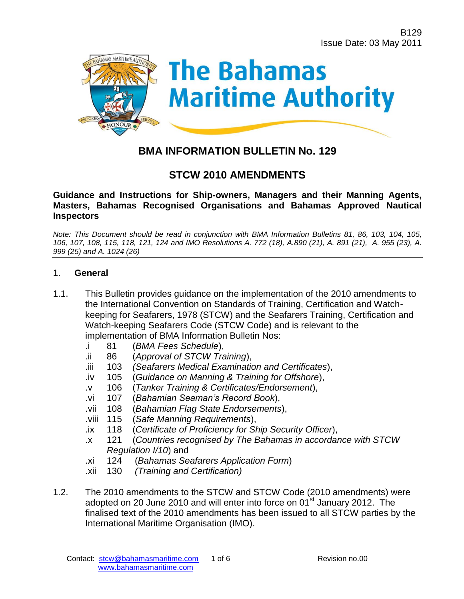

# **BMA INFORMATION BULLETIN No. 129**

# **STCW 2010 AMENDMENTS**

#### **Guidance and Instructions for Ship-owners, Managers and their Manning Agents, Masters, Bahamas Recognised Organisations and Bahamas Approved Nautical Inspectors**

*Note: This Document should be read in conjunction with BMA Information Bulletins 81, 86, 103, 104, 105, 106, 107, 108, 115, 118, 121, 124 and IMO Resolutions A. 772 (18), A.890 (21), A. 891 (21), A. 955 (23), A. 999 (25) and A. 1024 (26)*

#### 1. **General**

- 1.1. This Bulletin provides guidance on the implementation of the 2010 amendments to the International Convention on Standards of Training, Certification and Watchkeeping for Seafarers, 1978 (STCW) and the Seafarers Training, Certification and Watch-keeping Seafarers Code (STCW Code) and is relevant to the implementation of BMA Information Bulletin Nos:
	- .i 81 (*[BMA Fees Schedule](http://www.bahamasmaritime.com/downloads/81bulltn.pdf)*),
	- .ii 86 (*[Approval of STCW Training](http://www.bahamasmaritime.com/downloads/86bulltn.pdf)*),
	- .iii 103 *[\(Seafarers Medical Examination and Certificates](http://www.bahamasmaritime.com/downloads/103bulltn.pdf)*),
	- .iv 105 (*[Guidance on Manning & Training for Offshore](http://www.bahamasmaritime.com/downloads/105bulltn.pdf)*),
	- .v 106 (*[Tanker Training & Certificates/Endorsement](http://www.bahamasmaritime.com/downloads/106bulltn.pdf)*),
	- .vi 107 (*[Bahamian Seaman's Record Book](http://www.bahamasmaritime.com/downloads/107bulltn.pdf)*),
	- .vii 108 (*[Bahamian Flag State Endorsements](http://www.bahamasmaritime.com/downloads/108bulltn.pdf)*),
	- .viii 115 (*[Safe Manning Requirements](http://www.bahamasmaritime.com/downloads/115bulltn.pdf)*),
	- .ix 118 (*[Certificate of Proficiency for Ship Security Officer](http://www.bahamasmaritime.com/downloads/118bulltn.pdf)*),
	- .x 121 (*[Countries recognised by The Bahamas in accordance with STCW](http://www.bahamasmaritime.com/downloads/121bulltn.pdf)  [Regulation I/10](http://www.bahamasmaritime.com/downloads/121bulltn.pdf)*) and
	- .xi 124 (*[Bahamas Seafarers Application Form](http://www.bahamasmaritime.com/downloads/124bulltn.pdf)*)
	- .xii 130 *[\(Training and Certification\)](http://www.bahamasmaritime.com/downloads/130bulltn.pdf)*
- 1.2. The 2010 amendments to the STCW and STCW Code (2010 amendments) were adopted on 20 June 2010 and will enter into force on 01<sup>st</sup> January 2012. The finalised text of the 2010 amendments has been issued to all STCW parties by the International Maritime Organisation (IMO).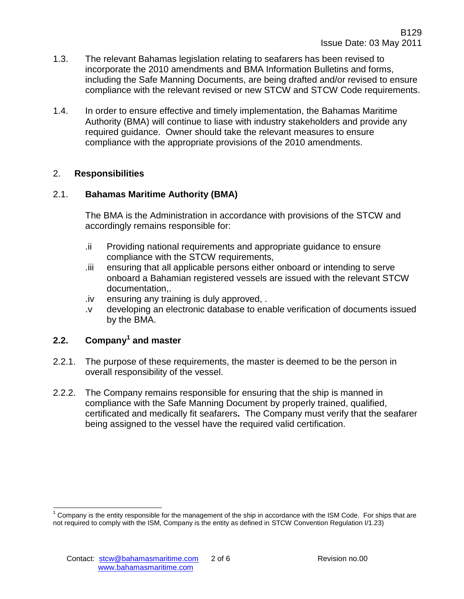- 1.3. The relevant Bahamas legislation relating to seafarers has been revised to incorporate the 2010 amendments and BMA Information Bulletins and forms, including the Safe Manning Documents, are being drafted and/or revised to ensure compliance with the relevant revised or new STCW and STCW Code requirements.
- 1.4. In order to ensure effective and timely implementation, the Bahamas Maritime Authority (BMA) will continue to liase with industry stakeholders and provide any required guidance. Owner should take the relevant measures to ensure compliance with the appropriate provisions of the 2010 amendments.

#### 2. **Responsibilities**

## 2.1. **Bahamas Maritime Authority (BMA)**

The BMA is the Administration in accordance with provisions of the STCW and accordingly remains responsible for:

- .ii Providing national requirements and appropriate guidance to ensure compliance with the STCW requirements,
- .iii ensuring that all applicable persons either onboard or intending to serve onboard a Bahamian registered vessels are issued with the relevant STCW documentation,.
- .iv ensuring any training is duly approved, .
- .v developing an electronic database to enable verification of documents issued by the BMA.

# **2.2. Company<sup>1</sup> and master**

- 2.2.1. The purpose of these requirements, the master is deemed to be the person in overall responsibility of the vessel.
- 2.2.2. The Company remains responsible for ensuring that the ship is manned in compliance with the Safe Manning Document by properly trained, qualified, certificated and medically fit seafarers**.** The Company must verify that the seafarer being assigned to the vessel have the required valid certification.

l  $1$  Company is the entity responsible for the management of the ship in accordance with the ISM Code. For ships that are not required to comply with the ISM, Company is the entity as defined in STCW Convention Regulation I/1.23)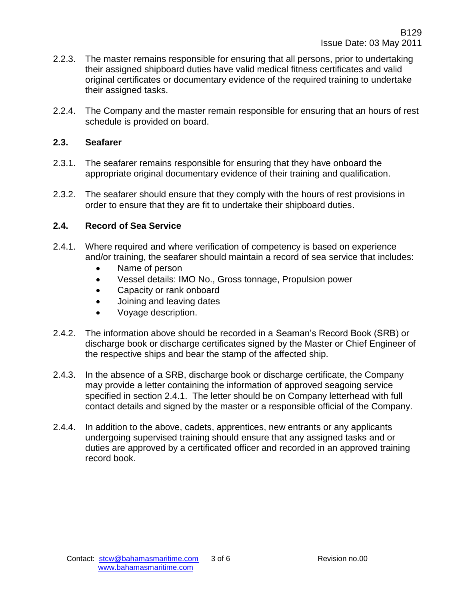- 2.2.3. The master remains responsible for ensuring that all persons, prior to undertaking their assigned shipboard duties have valid medical fitness certificates and valid original certificates or documentary evidence of the required training to undertake their assigned tasks.
- 2.2.4. The Company and the master remain responsible for ensuring that an hours of rest schedule is provided on board.

### **2.3. Seafarer**

- 2.3.1. The seafarer remains responsible for ensuring that they have onboard the appropriate original documentary evidence of their training and qualification.
- 2.3.2. The seafarer should ensure that they comply with the hours of rest provisions in order to ensure that they are fit to undertake their shipboard duties.

#### **2.4. Record of Sea Service**

- 2.4.1. Where required and where verification of competency is based on experience and/or training, the seafarer should maintain a record of sea service that includes:
	- Name of person
	- Vessel details: IMO No., Gross tonnage, Propulsion power
	- Capacity or rank onboard
	- Joining and leaving dates
	- Voyage description.
- 2.4.2. The information above should be recorded in a Seaman's Record Book (SRB) or discharge book or discharge certificates signed by the Master or Chief Engineer of the respective ships and bear the stamp of the affected ship.
- 2.4.3. In the absence of a SRB, discharge book or discharge certificate, the Company may provide a letter containing the information of approved seagoing service specified in section 2.4.1. The letter should be on Company letterhead with full contact details and signed by the master or a responsible official of the Company.
- 2.4.4. In addition to the above, cadets, apprentices, new entrants or any applicants undergoing supervised training should ensure that any assigned tasks and or duties are approved by a certificated officer and recorded in an approved training record book.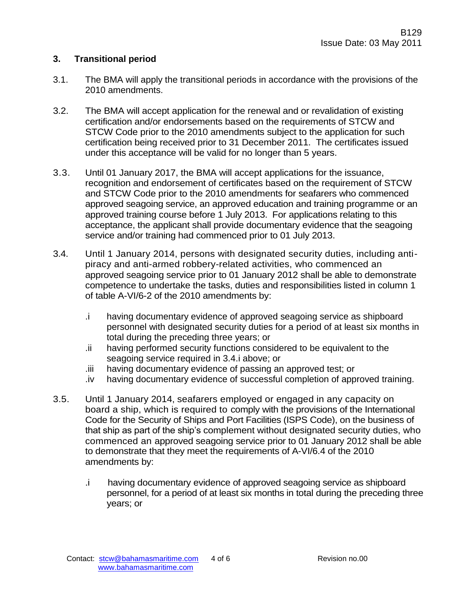### **3. Transitional period**

- 3.1. The BMA will apply the transitional periods in accordance with the provisions of the 2010 amendments.
- 3.2. The BMA will accept application for the renewal and or revalidation of existing certification and/or endorsements based on the requirements of STCW and STCW Code prior to the 2010 amendments subject to the application for such certification being received prior to 31 December 2011. The certificates issued under this acceptance will be valid for no longer than 5 years.
- 3.3. Until 01 January 2017, the BMA will accept applications for the issuance, recognition and endorsement of certificates based on the requirement of STCW and STCW Code prior to the 2010 amendments for seafarers who commenced approved seagoing service, an approved education and training programme or an approved training course before 1 July 2013. For applications relating to this acceptance, the applicant shall provide documentary evidence that the seagoing service and/or training had commenced prior to 01 July 2013.
- 3.4. Until 1 January 2014, persons with designated security duties, including antipiracy and anti-armed robbery-related activities, who commenced an approved seagoing service prior to 01 January 2012 shall be able to demonstrate competence to undertake the tasks, duties and responsibilities listed in column 1 of table A-VI/6-2 of the 2010 amendments by:
	- .i having documentary evidence of approved seagoing service as shipboard personnel with designated security duties for a period of at least six months in total during the preceding three years; or
	- .ii having performed security functions considered to be equivalent to the seagoing service required in 3.4.i above; or
	- .iii having documentary evidence of passing an approved test; or
	- .iv having documentary evidence of successful completion of approved training.
- 3.5. Until 1 January 2014, seafarers employed or engaged in any capacity on board a ship, which is required to comply with the provisions of the International Code for the Security of Ships and Port Facilities (ISPS Code), on the business of that ship as part of the ship's complement without designated security duties, who commenced an approved seagoing service prior to 01 January 2012 shall be able to demonstrate that they meet the requirements of A-VI/6.4 of the 2010 amendments by:
	- .i having documentary evidence of approved seagoing service as shipboard personnel, for a period of at least six months in total during the preceding three years; or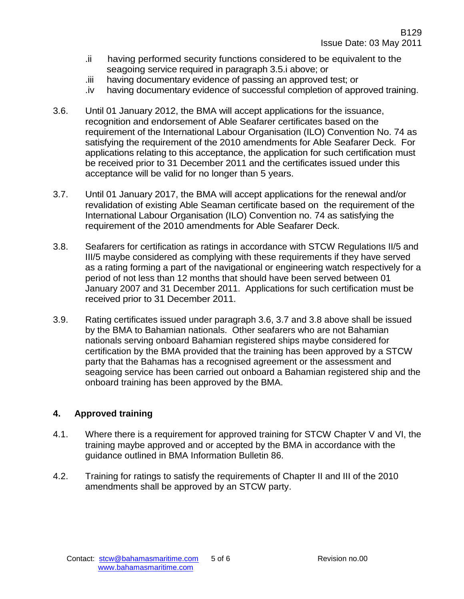- .ii having performed security functions considered to be equivalent to the seagoing service required in paragraph 3.5.i above; or
- .iii having documentary evidence of passing an approved test; or
- .iv having documentary evidence of successful completion of approved training.
- 3.6. Until 01 January 2012, the BMA will accept applications for the issuance, recognition and endorsement of Able Seafarer certificates based on the requirement of the International Labour Organisation (ILO) Convention No. 74 as satisfying the requirement of the 2010 amendments for Able Seafarer Deck. For applications relating to this acceptance, the application for such certification must be received prior to 31 December 2011 and the certificates issued under this acceptance will be valid for no longer than 5 years.
- 3.7. Until 01 January 2017, the BMA will accept applications for the renewal and/or revalidation of existing Able Seaman certificate based on the requirement of the International Labour Organisation (ILO) Convention no. 74 as satisfying the requirement of the 2010 amendments for Able Seafarer Deck.
- 3.8. Seafarers for certification as ratings in accordance with STCW Regulations II/5 and III/5 maybe considered as complying with these requirements if they have served as a rating forming a part of the navigational or engineering watch respectively for a period of not less than 12 months that should have been served between 01 January 2007 and 31 December 2011. Applications for such certification must be received prior to 31 December 2011.
- 3.9. Rating certificates issued under paragraph 3.6, 3.7 and 3.8 above shall be issued by the BMA to Bahamian nationals. Other seafarers who are not Bahamian nationals serving onboard Bahamian registered ships maybe considered for certification by the BMA provided that the training has been approved by a STCW party that the Bahamas has a recognised agreement or the assessment and seagoing service has been carried out onboard a Bahamian registered ship and the onboard training has been approved by the BMA.

# **4. Approved training**

- 4.1. Where there is a requirement for approved training for STCW Chapter V and VI, the training maybe approved and or accepted by the BMA in accordance with the guidance outlined in BMA Information Bulletin 86.
- 4.2. Training for ratings to satisfy the requirements of Chapter II and III of the 2010 amendments shall be approved by an STCW party.